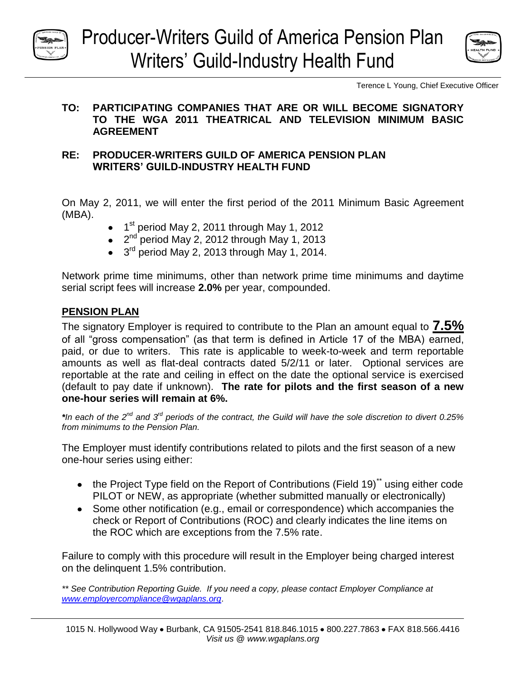



Terence L Young, Chief Executive Officer

### **TO: PARTICIPATING COMPANIES THAT ARE OR WILL BECOME SIGNATORY TO THE WGA 2011 THEATRICAL AND TELEVISION MINIMUM BASIC AGREEMENT**

## **RE: PRODUCER-WRITERS GUILD OF AMERICA PENSION PLAN WRITERS' GUILD-INDUSTRY HEALTH FUND**

On May 2, 2011, we will enter the first period of the 2011 Minimum Basic Agreement (MBA).

- 1<sup>st</sup> period May 2, 2011 through May 1, 2012
- 2<sup>nd</sup> period May 2, 2012 through May 1, 2013  $\bullet$
- 3<sup>rd</sup> period May 2, 2013 through May 1, 2014.

Network prime time minimums, other than network prime time minimums and daytime serial script fees will increase **2.0%** per year, compounded.

# **PENSION PLAN**

The signatory Employer is required to contribute to the Plan an amount equal to **7.5%** of all "gross compensation" (as that term is defined in Article 17 of the MBA) earned, paid, or due to writers. This rate is applicable to week-to-week and term reportable amounts as well as flat-deal contracts dated 5/2/11 or later. Optional services are reportable at the rate and ceiling in effect on the date the optional service is exercised (default to pay date if unknown). **The rate for pilots and the first season of a new one-hour series will remain at 6%.**

*\*In each of the 2nd and 3 rd periods of the contract, the Guild will have the sole discretion to divert 0.25% from minimums to the Pension Plan.* 

The Employer must identify contributions related to pilots and the first season of a new one-hour series using either:

- $\bullet$  the Project Type field on the Report of Contributions (Field 19)<sup>\*\*</sup> using either code PILOT or NEW, as appropriate (whether submitted manually or electronically)
- Some other notification (e.g., email or correspondence) which accompanies the check or Report of Contributions (ROC) and clearly indicates the line items on the ROC which are exceptions from the 7.5% rate.

Failure to comply with this procedure will result in the Employer being charged interest on the delinquent 1.5% contribution.

*\*\* See Contribution Reporting Guide. If you need a copy, please contact Employer Compliance at [www.employercompliance@wgaplans.org](http://www.employercompliance@wgaplans.org/)*.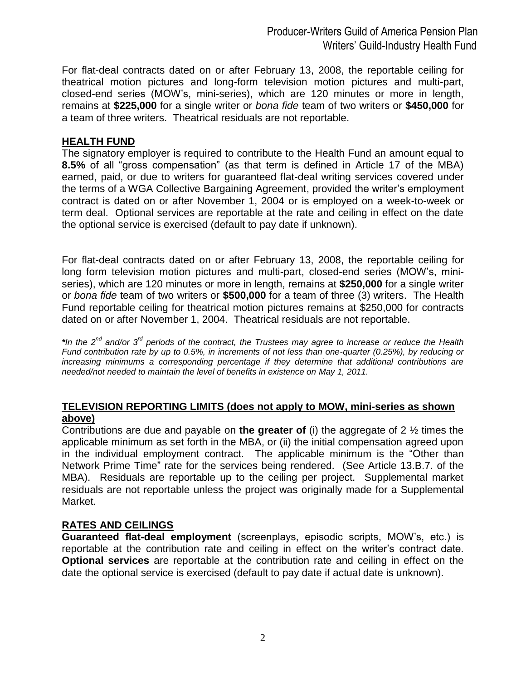For flat-deal contracts dated on or after February 13, 2008, the reportable ceiling for theatrical motion pictures and long-form television motion pictures and multi-part, closed-end series (MOW's, mini-series), which are 120 minutes or more in length, remains at **\$225,000** for a single writer or *bona fide* team of two writers or **\$450,000** for a team of three writers. Theatrical residuals are not reportable.

### **HEALTH FUND**

The signatory employer is required to contribute to the Health Fund an amount equal to **8.5%** of all "gross compensation" (as that term is defined in Article 17 of the MBA) earned, paid, or due to writers for guaranteed flat-deal writing services covered under the terms of a WGA Collective Bargaining Agreement, provided the writer's employment contract is dated on or after November 1, 2004 or is employed on a week-to-week or term deal. Optional services are reportable at the rate and ceiling in effect on the date the optional service is exercised (default to pay date if unknown).

For flat-deal contracts dated on or after February 13, 2008, the reportable ceiling for long form television motion pictures and multi-part, closed-end series (MOW's, miniseries), which are 120 minutes or more in length, remains at **\$250,000** for a single writer or *bona fide* team of two writers or **\$500,000** for a team of three (3) writers. The Health Fund reportable ceiling for theatrical motion pictures remains at \$250,000 for contracts dated on or after November 1, 2004. Theatrical residuals are not reportable.

\**In the 2<sup>nd</sup> and/or 3<sup>rd</sup> periods of the contract, the Trustees may agree to increase or reduce the Health Fund contribution rate by up to 0.5%, in increments of not less than one-quarter (0.25%), by reducing or increasing minimums a corresponding percentage if they determine that additional contributions are needed/not needed to maintain the level of benefits in existence on May 1, 2011.* 

### **TELEVISION REPORTING LIMITS (does not apply to MOW, mini-series as shown above)**

Contributions are due and payable on **the greater of** (i) the aggregate of 2 ½ times the applicable minimum as set forth in the MBA, or (ii) the initial compensation agreed upon in the individual employment contract. The applicable minimum is the "Other than Network Prime Time" rate for the services being rendered. (See Article 13.B.7. of the MBA). Residuals are reportable up to the ceiling per project. Supplemental market residuals are not reportable unless the project was originally made for a Supplemental Market.

#### **RATES AND CEILINGS**

**Guaranteed flat-deal employment** (screenplays, episodic scripts, MOW's, etc.) is reportable at the contribution rate and ceiling in effect on the writer's contract date. **Optional services** are reportable at the contribution rate and ceiling in effect on the date the optional service is exercised (default to pay date if actual date is unknown).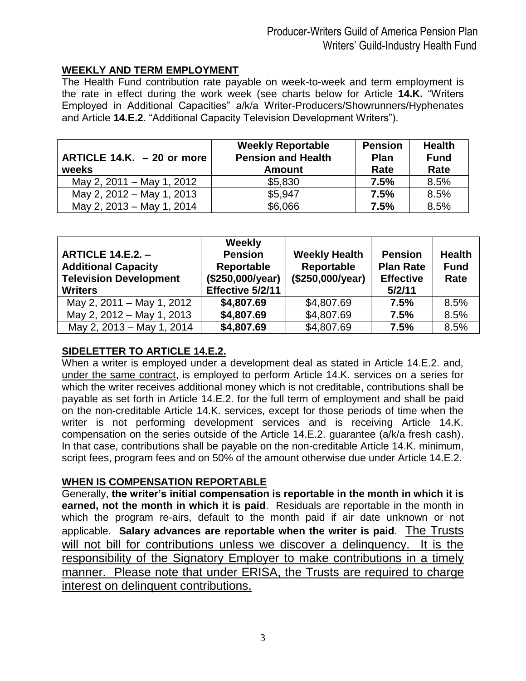# **WEEKLY AND TERM EMPLOYMENT**

The Health Fund contribution rate payable on week-to-week and term employment is the rate in effect during the work week (see charts below for Article **14.K.** "Writers Employed in Additional Capacities" a/k/a Writer-Producers/Showrunners/Hyphenates and Article **14.E.2**. "Additional Capacity Television Development Writers").

| ARTICLE 14.K. - 20 or more<br>weeks | <b>Weekly Reportable</b><br><b>Pension and Health</b><br><b>Amount</b> | <b>Pension</b><br>Plan<br>Rate | <b>Health</b><br><b>Fund</b><br>Rate |
|-------------------------------------|------------------------------------------------------------------------|--------------------------------|--------------------------------------|
| May 2, 2011 – May 1, 2012           | \$5,830                                                                | 7.5%                           | 8.5%                                 |
| May 2, 2012 – May 1, 2013           | \$5,947                                                                | 7.5%                           | 8.5%                                 |
| May 2, 2013 - May 1, 2014           | \$6,066                                                                | 7.5%                           | 8.5%                                 |

| <b>ARTICLE 14.E.2. -</b><br><b>Additional Capacity</b><br><b>Television Development</b><br><b>Writers</b> | Weekly<br><b>Pension</b><br>Reportable<br>(\$250,000/year)<br>Effective 5/2/11 | <b>Weekly Health</b><br>Reportable<br>(\$250,000/year) | <b>Pension</b><br><b>Plan Rate</b><br><b>Effective</b><br>5/2/11 | <b>Health</b><br><b>Fund</b><br>Rate |
|-----------------------------------------------------------------------------------------------------------|--------------------------------------------------------------------------------|--------------------------------------------------------|------------------------------------------------------------------|--------------------------------------|
| May 2, 2011 – May 1, 2012                                                                                 | \$4,807.69                                                                     | \$4,807.69                                             | 7.5%                                                             | 8.5%                                 |
| May 2, 2012 - May 1, 2013                                                                                 | \$4,807.69                                                                     | \$4,807.69                                             | 7.5%                                                             | 8.5%                                 |
| May 2, 2013 - May 1, 2014                                                                                 | \$4,807.69                                                                     | \$4,807.69                                             | 7.5%                                                             | 8.5%                                 |

# **SIDELETTER TO ARTICLE 14.E.2.**

When a writer is employed under a development deal as stated in Article 14.E.2. and, under the same contract, is employed to perform Article 14.K. services on a series for which the writer receives additional money which is not creditable, contributions shall be payable as set forth in Article 14.E.2. for the full term of employment and shall be paid on the non-creditable Article 14.K. services, except for those periods of time when the writer is not performing development services and is receiving Article 14.K. compensation on the series outside of the Article 14.E.2. guarantee (a/k/a fresh cash). In that case, contributions shall be payable on the non-creditable Article 14.K. minimum, script fees, program fees and on 50% of the amount otherwise due under Article 14.E.2.

# **WHEN IS COMPENSATION REPORTABLE**

Generally, **the writer's initial compensation is reportable in the month in which it is earned, not the month in which it is paid**. Residuals are reportable in the month in which the program re-airs, default to the month paid if air date unknown or not applicable. **Salary advances are reportable when the writer is paid**. The Trusts will not bill for contributions unless we discover a delinguency. It is the responsibility of the Signatory Employer to make contributions in a timely manner. Please note that under ERISA, the Trusts are required to charge interest on delinquent contributions.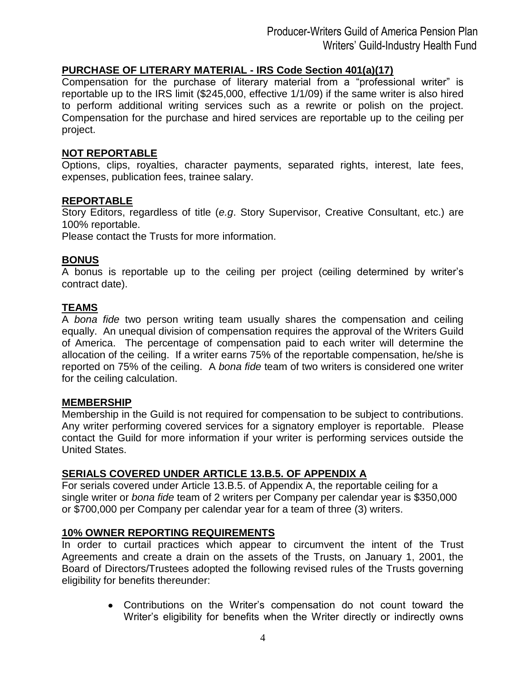## **PURCHASE OF LITERARY MATERIAL - IRS Code Section 401(a)(17)**

Compensation for the purchase of literary material from a "professional writer" is reportable up to the IRS limit (\$245,000, effective 1/1/09) if the same writer is also hired to perform additional writing services such as a rewrite or polish on the project. Compensation for the purchase and hired services are reportable up to the ceiling per project.

#### **NOT REPORTABLE**

Options, clips, royalties, character payments, separated rights, interest, late fees, expenses, publication fees, trainee salary.

### **REPORTABLE**

Story Editors, regardless of title (*e.g*. Story Supervisor, Creative Consultant, etc.) are 100% reportable.

Please contact the Trusts for more information.

#### **BONUS**

A bonus is reportable up to the ceiling per project (ceiling determined by writer's contract date).

## **TEAMS**

A *bona fide* two person writing team usually shares the compensation and ceiling equally. An unequal division of compensation requires the approval of the Writers Guild of America. The percentage of compensation paid to each writer will determine the allocation of the ceiling. If a writer earns 75% of the reportable compensation, he/she is reported on 75% of the ceiling. A *bona fide* team of two writers is considered one writer for the ceiling calculation.

#### **MEMBERSHIP**

Membership in the Guild is not required for compensation to be subject to contributions. Any writer performing covered services for a signatory employer is reportable. Please contact the Guild for more information if your writer is performing services outside the United States.

## **SERIALS COVERED UNDER ARTICLE 13.B.5. OF APPENDIX A**

For serials covered under Article 13.B.5. of Appendix A, the reportable ceiling for a single writer or *bona fide* team of 2 writers per Company per calendar year is \$350,000 or \$700,000 per Company per calendar year for a team of three (3) writers.

#### **10% OWNER REPORTING REQUIREMENTS**

In order to curtail practices which appear to circumvent the intent of the Trust Agreements and create a drain on the assets of the Trusts, on January 1, 2001, the Board of Directors/Trustees adopted the following revised rules of the Trusts governing eligibility for benefits thereunder:

> Contributions on the Writer's compensation do not count toward the Writer's eligibility for benefits when the Writer directly or indirectly owns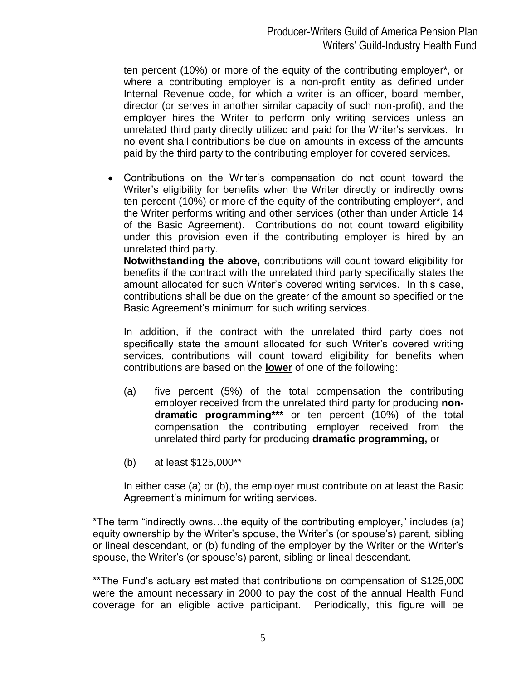ten percent (10%) or more of the equity of the contributing employer\*, or where a contributing employer is a non-profit entity as defined under Internal Revenue code, for which a writer is an officer, board member, director (or serves in another similar capacity of such non-profit), and the employer hires the Writer to perform only writing services unless an unrelated third party directly utilized and paid for the Writer's services. In no event shall contributions be due on amounts in excess of the amounts paid by the third party to the contributing employer for covered services.

 $\bullet$ Contributions on the Writer's compensation do not count toward the Writer's eligibility for benefits when the Writer directly or indirectly owns ten percent (10%) or more of the equity of the contributing employer\*, and the Writer performs writing and other services (other than under Article 14 of the Basic Agreement). Contributions do not count toward eligibility under this provision even if the contributing employer is hired by an unrelated third party.

**Notwithstanding the above,** contributions will count toward eligibility for benefits if the contract with the unrelated third party specifically states the amount allocated for such Writer's covered writing services. In this case, contributions shall be due on the greater of the amount so specified or the Basic Agreement's minimum for such writing services.

In addition, if the contract with the unrelated third party does not specifically state the amount allocated for such Writer's covered writing services, contributions will count toward eligibility for benefits when contributions are based on the **lower** of one of the following:

- (a) five percent (5%) of the total compensation the contributing employer received from the unrelated third party for producing **nondramatic programming\*\*\*** or ten percent (10%) of the total compensation the contributing employer received from the unrelated third party for producing **dramatic programming,** or
- (b) at least \$125,000\*\*

In either case (a) or (b), the employer must contribute on at least the Basic Agreement's minimum for writing services.

\*The term "indirectly owns…the equity of the contributing employer," includes (a) equity ownership by the Writer's spouse, the Writer's (or spouse's) parent, sibling or lineal descendant, or (b) funding of the employer by the Writer or the Writer's spouse, the Writer's (or spouse's) parent, sibling or lineal descendant.

\*\*The Fund's actuary estimated that contributions on compensation of \$125,000 were the amount necessary in 2000 to pay the cost of the annual Health Fund coverage for an eligible active participant. Periodically, this figure will be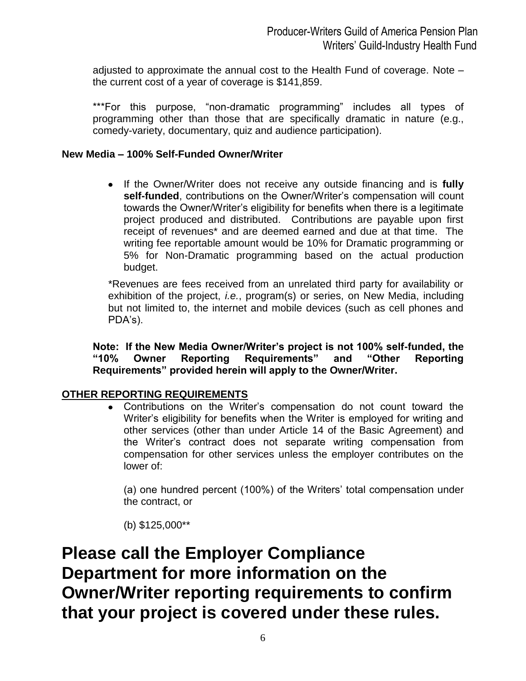adjusted to approximate the annual cost to the Health Fund of coverage. Note – the current cost of a year of coverage is \$141,859.

\*\*\*For this purpose, "non-dramatic programming" includes all types of programming other than those that are specifically dramatic in nature (e.g., comedy-variety, documentary, quiz and audience participation).

## **New Media – 100% Self-Funded Owner/Writer**

If the Owner/Writer does not receive any outside financing and is **fully self-funded**, contributions on the Owner/Writer's compensation will count towards the Owner/Writer's eligibility for benefits when there is a legitimate project produced and distributed. Contributions are payable upon first receipt of revenues\* and are deemed earned and due at that time. The writing fee reportable amount would be 10% for Dramatic programming or 5% for Non-Dramatic programming based on the actual production budget.

\*Revenues are fees received from an unrelated third party for availability or exhibition of the project, *i.e.*, program(s) or series, on New Media, including but not limited to, the internet and mobile devices (such as cell phones and PDA's).

**Note: If the New Media Owner/Writer's project is not 100% self-funded, the "10% Owner Reporting Requirements" and "Other Reporting Requirements" provided herein will apply to the Owner/Writer.** 

## **OTHER REPORTING REQUIREMENTS**

Contributions on the Writer's compensation do not count toward the Writer's eligibility for benefits when the Writer is employed for writing and other services (other than under Article 14 of the Basic Agreement) and the Writer's contract does not separate writing compensation from compensation for other services unless the employer contributes on the lower of:

(a) one hundred percent (100%) of the Writers' total compensation under the contract, or

(b) \$125,000\*\*

**Please call the Employer Compliance Department for more information on the Owner/Writer reporting requirements to confirm that your project is covered under these rules.**